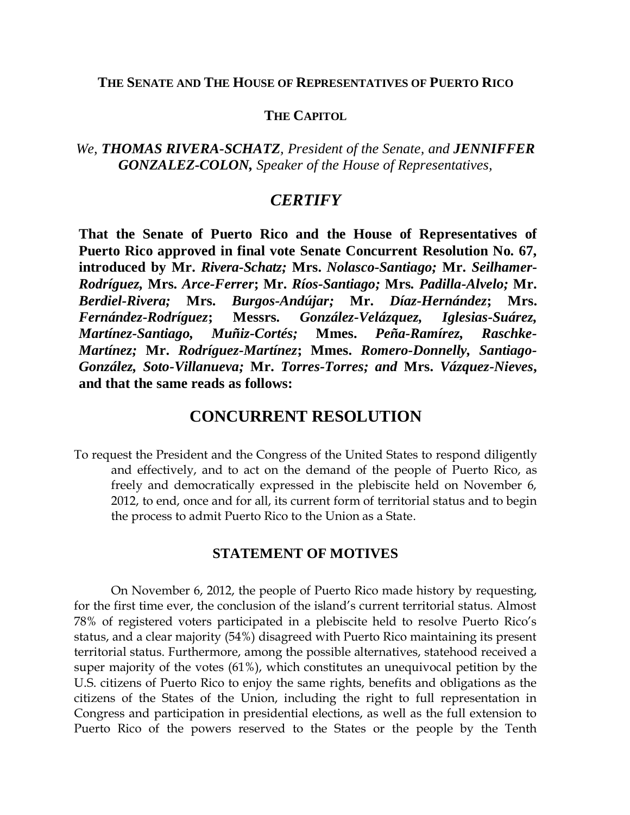## **THE SENATE AND THE HOUSE OF REPRESENTATIVES OF PUERTO RICO**

## **THE CAPITOL**

## *We, THOMAS RIVERA-SCHATZ, President of the Senate, and JENNIFFER GONZALEZ-COLON, Speaker of the House of Representatives,*

# *CERTIFY*

**That the Senate of Puerto Rico and the House of Representatives of Puerto Rico approved in final vote Senate Concurrent Resolution No. 67, introduced by Mr.** *Rivera-Schatz;* **Mrs.** *Nolasco-Santiago;* **Mr.** *Seilhamer-Rodríguez,* **Mrs.** *Arce-Ferrer***; Mr.** *Ríos-Santiago;* **Mrs***. Padilla-Alvelo;* **Mr.**  *Berdiel-Rivera;* **Mrs.** *Burgos-Andújar;* **Mr.** *Díaz-Hernández***; Mrs.**  *Fernández-Rodríguez***; Messrs.** *González-Velázquez, Iglesias-Suárez, Martínez-Santiago, Muñiz-Cortés;* **Mmes.** *Peña-Ramírez, Raschke-Martínez;* **Mr.** *Rodríguez-Martínez***; Mmes.** *Romero-Donnelly, Santiago-González, Soto-Villanueva;* **Mr.** *Torres-Torres; and* **Mrs.** *Vázquez-Nieves***, and that the same reads as follows:**

## **CONCURRENT RESOLUTION**

To request the President and the Congress of the United States to respond diligently and effectively, and to act on the demand of the people of Puerto Rico, as freely and democratically expressed in the plebiscite held on November 6, 2012, to end, once and for all, its current form of territorial status and to begin the process to admit Puerto Rico to the Union as a State.

### **STATEMENT OF MOTIVES**

On November 6, 2012, the people of Puerto Rico made history by requesting, for the first time ever, the conclusion of the island's current territorial status. Almost 78% of registered voters participated in a plebiscite held to resolve Puerto Rico's status, and a clear majority (54%) disagreed with Puerto Rico maintaining its present territorial status. Furthermore, among the possible alternatives, statehood received a super majority of the votes (61%), which constitutes an unequivocal petition by the U.S. citizens of Puerto Rico to enjoy the same rights, benefits and obligations as the citizens of the States of the Union, including the right to full representation in Congress and participation in presidential elections, as well as the full extension to Puerto Rico of the powers reserved to the States or the people by the Tenth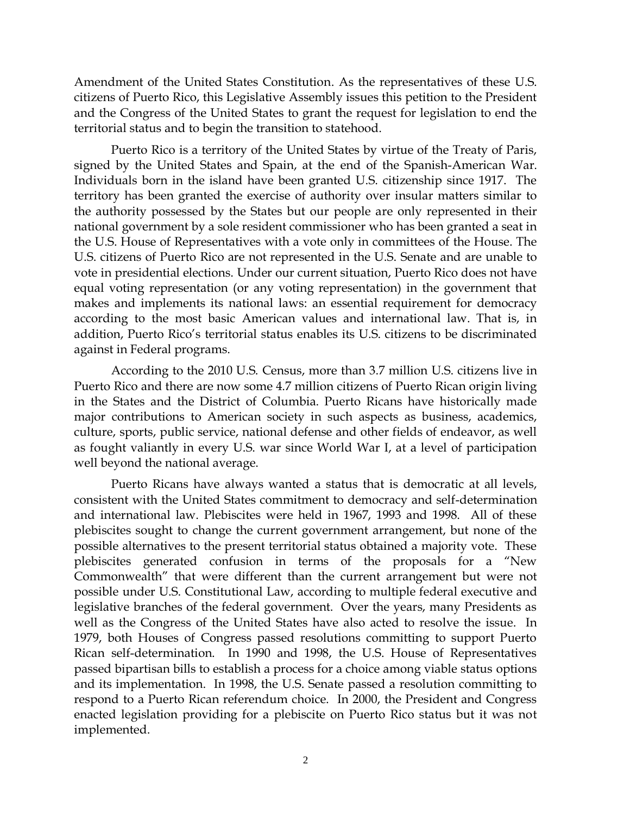Amendment of the United States Constitution. As the representatives of these U.S. citizens of Puerto Rico, this Legislative Assembly issues this petition to the President and the Congress of the United States to grant the request for legislation to end the territorial status and to begin the transition to statehood.

Puerto Rico is a territory of the United States by virtue of the Treaty of Paris, signed by the United States and Spain, at the end of the Spanish-American War. Individuals born in the island have been granted U.S. citizenship since 1917. The territory has been granted the exercise of authority over insular matters similar to the authority possessed by the States but our people are only represented in their national government by a sole resident commissioner who has been granted a seat in the U.S. House of Representatives with a vote only in committees of the House. The U.S. citizens of Puerto Rico are not represented in the U.S. Senate and are unable to vote in presidential elections. Under our current situation, Puerto Rico does not have equal voting representation (or any voting representation) in the government that makes and implements its national laws: an essential requirement for democracy according to the most basic American values and international law. That is, in addition, Puerto Rico's territorial status enables its U.S. citizens to be discriminated against in Federal programs.

According to the 2010 U.S. Census, more than 3.7 million U.S. citizens live in Puerto Rico and there are now some 4.7 million citizens of Puerto Rican origin living in the States and the District of Columbia. Puerto Ricans have historically made major contributions to American society in such aspects as business, academics, culture, sports, public service, national defense and other fields of endeavor, as well as fought valiantly in every U.S. war since World War I, at a level of participation well beyond the national average.

Puerto Ricans have always wanted a status that is democratic at all levels, consistent with the United States commitment to democracy and self-determination and international law. Plebiscites were held in 1967, 1993 and 1998. All of these plebiscites sought to change the current government arrangement, but none of the possible alternatives to the present territorial status obtained a majority vote. These plebiscites generated confusion in terms of the proposals for a "New Commonwealth" that were different than the current arrangement but were not possible under U.S. Constitutional Law, according to multiple federal executive and legislative branches of the federal government. Over the years, many Presidents as well as the Congress of the United States have also acted to resolve the issue. In 1979, both Houses of Congress passed resolutions committing to support Puerto Rican self-determination. In 1990 and 1998, the U.S. House of Representatives passed bipartisan bills to establish a process for a choice among viable status options and its implementation. In 1998, the U.S. Senate passed a resolution committing to respond to a Puerto Rican referendum choice. In 2000, the President and Congress enacted legislation providing for a plebiscite on Puerto Rico status but it was not implemented.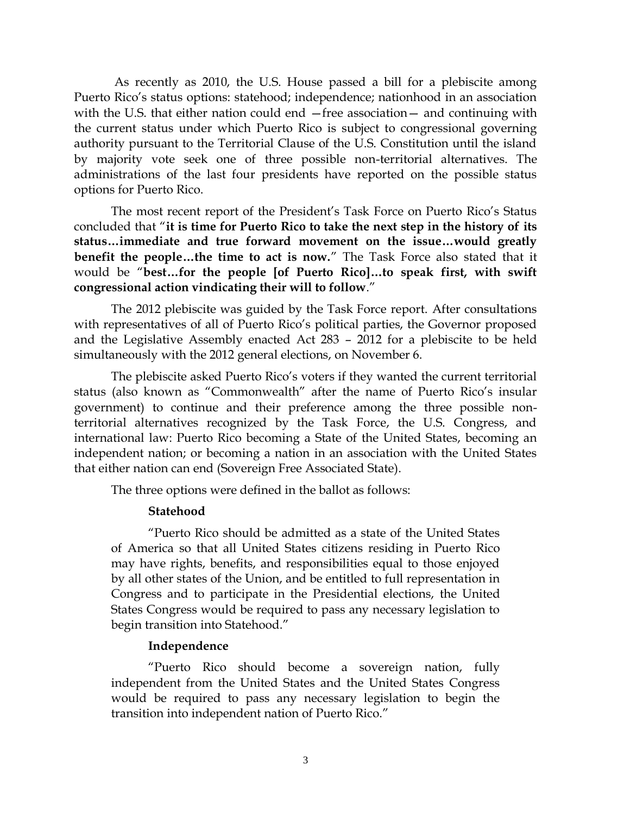As recently as 2010, the U.S. House passed a bill for a plebiscite among Puerto Rico's status options: statehood; independence; nationhood in an association with the U.S. that either nation could end –free association– and continuing with the current status under which Puerto Rico is subject to congressional governing authority pursuant to the Territorial Clause of the U.S. Constitution until the island by majority vote seek one of three possible non-territorial alternatives. The administrations of the last four presidents have reported on the possible status options for Puerto Rico.

The most recent report of the President's Task Force on Puerto Rico's Status concluded that "**it is time for Puerto Rico to take the next step in the history of its status…immediate and true forward movement on the issue…would greatly benefit the people…the time to act is now.**" The Task Force also stated that it would be "**best…for the people [of Puerto Rico]…to speak first, with swift congressional action vindicating their will to follow**."

The 2012 plebiscite was guided by the Task Force report. After consultations with representatives of all of Puerto Rico's political parties, the Governor proposed and the Legislative Assembly enacted Act 283 – 2012 for a plebiscite to be held simultaneously with the 2012 general elections, on November 6.

The plebiscite asked Puerto Rico's voters if they wanted the current territorial status (also known as "Commonwealth" after the name of Puerto Rico's insular government) to continue and their preference among the three possible nonterritorial alternatives recognized by the Task Force, the U.S. Congress, and international law: Puerto Rico becoming a State of the United States, becoming an independent nation; or becoming a nation in an association with the United States that either nation can end (Sovereign Free Associated State).

The three options were defined in the ballot as follows:

#### **Statehood**

"Puerto Rico should be admitted as a state of the United States of America so that all United States citizens residing in Puerto Rico may have rights, benefits, and responsibilities equal to those enjoyed by all other states of the Union, and be entitled to full representation in Congress and to participate in the Presidential elections, the United States Congress would be required to pass any necessary legislation to begin transition into Statehood."

### **Independence**

"Puerto Rico should become a sovereign nation, fully independent from the United States and the United States Congress would be required to pass any necessary legislation to begin the transition into independent nation of Puerto Rico."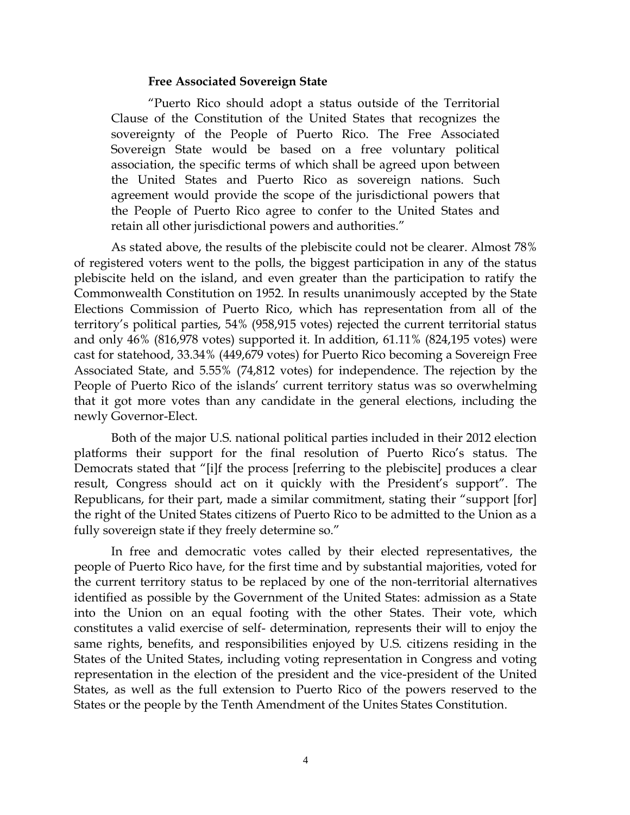#### **Free Associated Sovereign State**

"Puerto Rico should adopt a status outside of the Territorial Clause of the Constitution of the United States that recognizes the sovereignty of the People of Puerto Rico. The Free Associated Sovereign State would be based on a free voluntary political association, the specific terms of which shall be agreed upon between the United States and Puerto Rico as sovereign nations. Such agreement would provide the scope of the jurisdictional powers that the People of Puerto Rico agree to confer to the United States and retain all other jurisdictional powers and authorities."

As stated above, the results of the plebiscite could not be clearer. Almost 78% of registered voters went to the polls, the biggest participation in any of the status plebiscite held on the island, and even greater than the participation to ratify the Commonwealth Constitution on 1952. In results unanimously accepted by the State Elections Commission of Puerto Rico, which has representation from all of the territory's political parties, 54% (958,915 votes) rejected the current territorial status and only 46% (816,978 votes) supported it. In addition, 61.11% (824,195 votes) were cast for statehood, 33.34% (449,679 votes) for Puerto Rico becoming a Sovereign Free Associated State, and 5.55% (74,812 votes) for independence. The rejection by the People of Puerto Rico of the islands' current territory status was so overwhelming that it got more votes than any candidate in the general elections, including the newly Governor-Elect.

Both of the major U.S. national political parties included in their 2012 election platforms their support for the final resolution of Puerto Rico's status. The Democrats stated that "[i]f the process [referring to the plebiscite] produces a clear result, Congress should act on it quickly with the President's support". The Republicans, for their part, made a similar commitment, stating their "support [for] the right of the United States citizens of Puerto Rico to be admitted to the Union as a fully sovereign state if they freely determine so."

In free and democratic votes called by their elected representatives, the people of Puerto Rico have, for the first time and by substantial majorities, voted for the current territory status to be replaced by one of the non-territorial alternatives identified as possible by the Government of the United States: admission as a State into the Union on an equal footing with the other States. Their vote, which constitutes a valid exercise of self- determination, represents their will to enjoy the same rights, benefits, and responsibilities enjoyed by U.S. citizens residing in the States of the United States, including voting representation in Congress and voting representation in the election of the president and the vice-president of the United States, as well as the full extension to Puerto Rico of the powers reserved to the States or the people by the Tenth Amendment of the Unites States Constitution.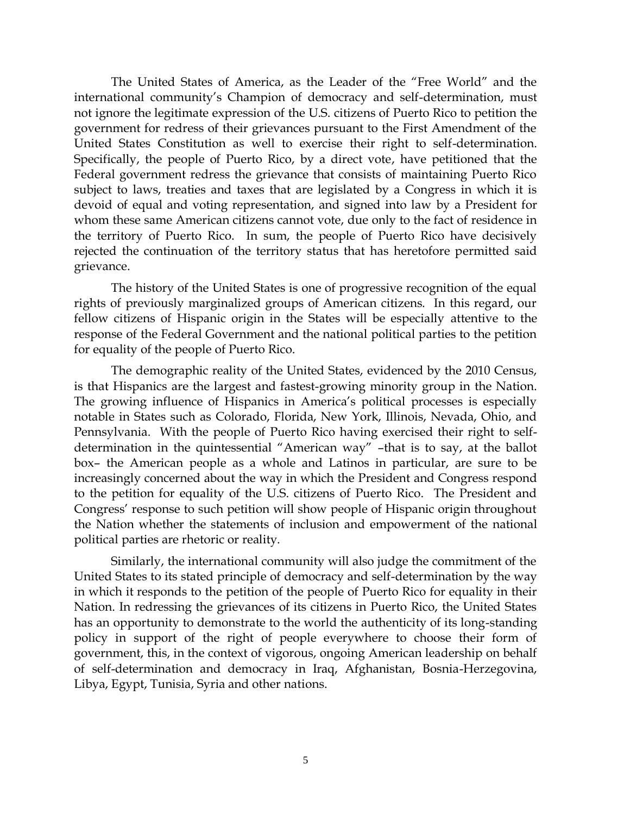The United States of America, as the Leader of the "Free World" and the international community's Champion of democracy and self-determination, must not ignore the legitimate expression of the U.S. citizens of Puerto Rico to petition the government for redress of their grievances pursuant to the First Amendment of the United States Constitution as well to exercise their right to self-determination. Specifically, the people of Puerto Rico, by a direct vote, have petitioned that the Federal government redress the grievance that consists of maintaining Puerto Rico subject to laws, treaties and taxes that are legislated by a Congress in which it is devoid of equal and voting representation, and signed into law by a President for whom these same American citizens cannot vote, due only to the fact of residence in the territory of Puerto Rico. In sum, the people of Puerto Rico have decisively rejected the continuation of the territory status that has heretofore permitted said grievance.

The history of the United States is one of progressive recognition of the equal rights of previously marginalized groups of American citizens. In this regard, our fellow citizens of Hispanic origin in the States will be especially attentive to the response of the Federal Government and the national political parties to the petition for equality of the people of Puerto Rico.

The demographic reality of the United States, evidenced by the 2010 Census, is that Hispanics are the largest and fastest-growing minority group in the Nation. The growing influence of Hispanics in America's political processes is especially notable in States such as Colorado, Florida, New York, Illinois, Nevada, Ohio, and Pennsylvania. With the people of Puerto Rico having exercised their right to selfdetermination in the quintessential "American way" –that is to say, at the ballot box– the American people as a whole and Latinos in particular, are sure to be increasingly concerned about the way in which the President and Congress respond to the petition for equality of the U.S. citizens of Puerto Rico. The President and Congress' response to such petition will show people of Hispanic origin throughout the Nation whether the statements of inclusion and empowerment of the national political parties are rhetoric or reality.

Similarly, the international community will also judge the commitment of the United States to its stated principle of democracy and self-determination by the way in which it responds to the petition of the people of Puerto Rico for equality in their Nation. In redressing the grievances of its citizens in Puerto Rico, the United States has an opportunity to demonstrate to the world the authenticity of its long-standing policy in support of the right of people everywhere to choose their form of government, this, in the context of vigorous, ongoing American leadership on behalf of self-determination and democracy in Iraq, Afghanistan, Bosnia-Herzegovina, Libya, Egypt, Tunisia, Syria and other nations.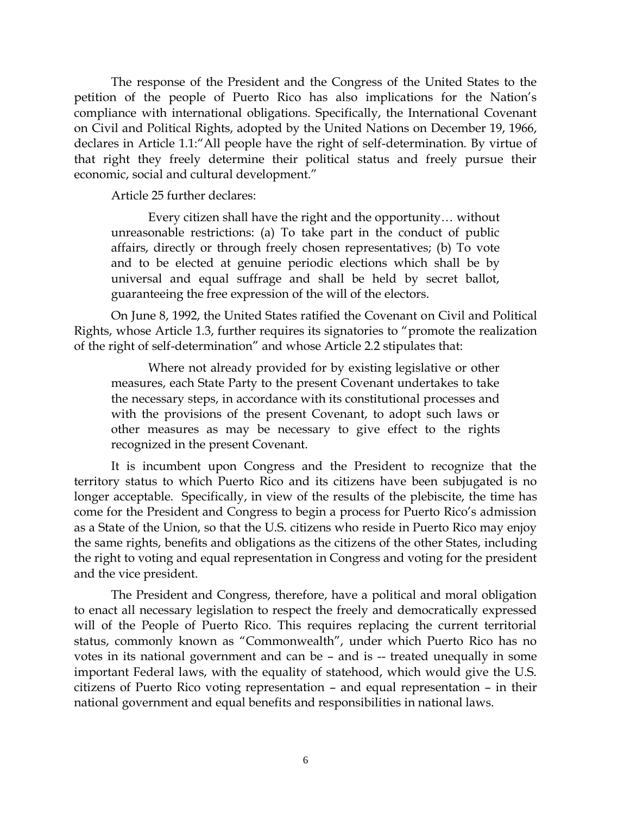The response of the President and the Congress of the United States to the petition of the people of Puerto Rico has also implications for the Nation's compliance with international obligations. Specifically, the International Covenant on Civil and Political Rights, adopted by the United Nations on December 19, 1966, declares in Article 1.1:"All people have the right of self-determination. By virtue of that right they freely determine their political status and freely pursue their economic, social and cultural development."

Article 25 further declares:

Every citizen shall have the right and the opportunity… without unreasonable restrictions: (a) To take part in the conduct of public affairs, directly or through freely chosen representatives; (b) To vote and to be elected at genuine periodic elections which shall be by universal and equal suffrage and shall be held by secret ballot, guaranteeing the free expression of the will of the electors.

On June 8, 1992, the United States ratified the Covenant on Civil and Political Rights, whose Article 1.3, further requires its signatories to "promote the realization of the right of self-determination" and whose Article 2.2 stipulates that:

Where not already provided for by existing legislative or other measures, each State Party to the present Covenant undertakes to take the necessary steps, in accordance with its constitutional processes and with the provisions of the present Covenant, to adopt such laws or other measures as may be necessary to give effect to the rights recognized in the present Covenant.

It is incumbent upon Congress and the President to recognize that the territory status to which Puerto Rico and its citizens have been subjugated is no longer acceptable. Specifically, in view of the results of the plebiscite, the time has come for the President and Congress to begin a process for Puerto Rico's admission as a State of the Union, so that the U.S. citizens who reside in Puerto Rico may enjoy the same rights, benefits and obligations as the citizens of the other States, including the right to voting and equal representation in Congress and voting for the president and the vice president.

The President and Congress, therefore, have a political and moral obligation to enact all necessary legislation to respect the freely and democratically expressed will of the People of Puerto Rico. This requires replacing the current territorial status, commonly known as "Commonwealth", under which Puerto Rico has no votes in its national government and can be – and is -- treated unequally in some important Federal laws, with the equality of statehood, which would give the U.S. citizens of Puerto Rico voting representation – and equal representation – in their national government and equal benefits and responsibilities in national laws.